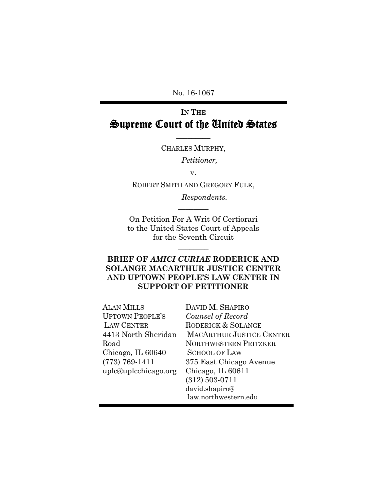No. 16-1067

# **IN THE** Supreme Court of the United States

 $\overline{\phantom{a}}$ CHARLES MURPHY,

*Petitioner,*

v.

ROBERT SMITH AND GREGORY FULK,

 $\overline{\phantom{a}}$ 

*Respondents.*

On Petition For A Writ Of Certiorari to the United States Court of Appeals for the Seventh Circuit

 $\overline{\phantom{a}}$ 

# **BRIEF OF** *AMICI CURIAE* **RODERICK AND SOLANGE MACARTHUR JUSTICE CENTER AND UPTOWN PEOPLE'S LAW CENTER IN SUPPORT OF PETITIONER**

 $\overline{\phantom{a}}$ 

| <b>ALAN MILLS</b>      | DAVID M. SHAPIRO                |
|------------------------|---------------------------------|
| <b>UPTOWN PEOPLE'S</b> | Counsel of Record               |
| <b>LAW CENTER</b>      | RODERICK & SOLANGE              |
| 4413 North Sheridan    | <b>MACARTHUR JUSTICE CENTER</b> |
| Road                   | <b>NORTHWESTERN PRITZKER</b>    |
| Chicago, IL 60640      | <b>SCHOOL OF LAW</b>            |
| $(773) 769 - 1411$     | 375 East Chicago Avenue         |
| uplc@uplcchicago.org   | Chicago, IL 60611               |
|                        | $(312)$ 503-0711                |
|                        | david.shapiro@                  |
|                        | law.northwestern.edu            |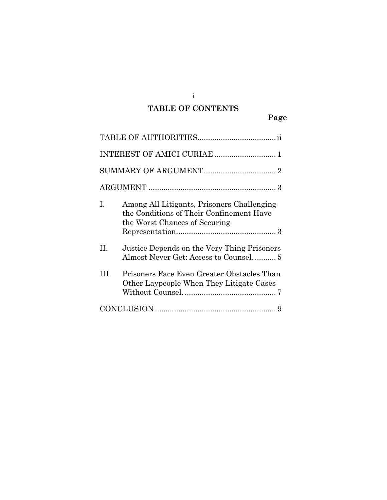# **TABLE OF CONTENTS**

|      | INTEREST OF AMICI CURIAE  1                                                                                             |
|------|-------------------------------------------------------------------------------------------------------------------------|
|      |                                                                                                                         |
|      |                                                                                                                         |
| I.   | Among All Litigants, Prisoners Challenging<br>the Conditions of Their Confinement Have<br>the Worst Chances of Securing |
| П.   | Justice Depends on the Very Thing Prisoners<br>Almost Never Get: Access to Counsel 5                                    |
| III. | Prisoners Face Even Greater Obstacles Than<br>Other Laypeople When They Litigate Cases                                  |
|      |                                                                                                                         |

i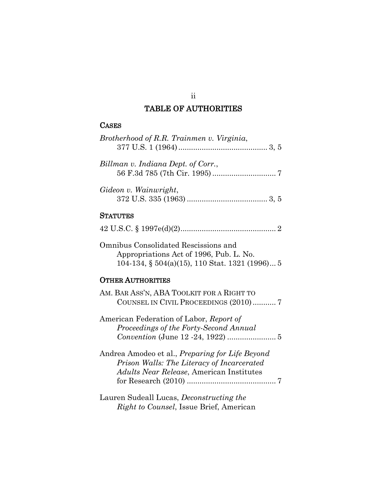## TABLE OF AUTHORITIES

# <span id="page-2-0"></span>**CASES**

| Brotherhood of R.R. Trainmen v. Virginia, |  |
|-------------------------------------------|--|
| Billman v. Indiana Dept. of Corr.,        |  |
| Gideon v. Wainwright,                     |  |
| <b>STATUTES</b>                           |  |
|                                           |  |
| Omnibus Consolidated Rescissions and      |  |

Omnibus Consolidated Rescissions and Appropriations Act of 1996, Pub. L. No. 104-134, § 504(a)(15), 110 Stat. 1321 (1996)... 5

# OTHER AUTHORITIES

| AM. BAR ASS'N, ABA TOOLKIT FOR A RIGHT TO              |  |
|--------------------------------------------------------|--|
| COUNSEL IN CIVIL PROCEEDINGS (2010)7                   |  |
| American Federation of Labor, Report of                |  |
| Proceedings of the Forty-Second Annual                 |  |
|                                                        |  |
|                                                        |  |
| Andrea Amodeo et al., <i>Preparing for Life Beyond</i> |  |
| Prison Walls: The Literacy of Incarcerated             |  |
| Adults Near Release, American Institutes               |  |
|                                                        |  |
|                                                        |  |
| Lauren Sudeall Lucas, <i>Deconstructing the</i>        |  |

Lauren Sudeall Lucas, *Deconstructing the Right to Counsel*, Issue Brief, American

#### ii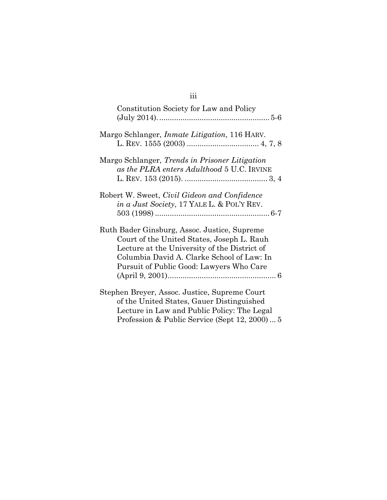| Constitution Society for Law and Policy                                                                                                                                                                                              |
|--------------------------------------------------------------------------------------------------------------------------------------------------------------------------------------------------------------------------------------|
| Margo Schlanger, <i>Inmate Litigation</i> , 116 HARV.                                                                                                                                                                                |
| Margo Schlanger, Trends in Prisoner Litigation<br>as the PLRA enters Adulthood 5 U.C. IRVINE                                                                                                                                         |
| Robert W. Sweet, Civil Gideon and Confidence<br><i>in a Just Society</i> , 17 YALE L. & POL'Y REV.                                                                                                                                   |
| Ruth Bader Ginsburg, Assoc. Justice, Supreme<br>Court of the United States, Joseph L. Rauh<br>Lecture at the University of the District of<br>Columbia David A. Clarke School of Law: In<br>Pursuit of Public Good: Lawyers Who Care |
| Stephen Breyer, Assoc. Justice, Supreme Court<br>of the United States, Gauer Distinguished<br>Lecture in Law and Public Policy: The Legal<br>Profession & Public Service (Sept 12, 2000) 5                                           |

iii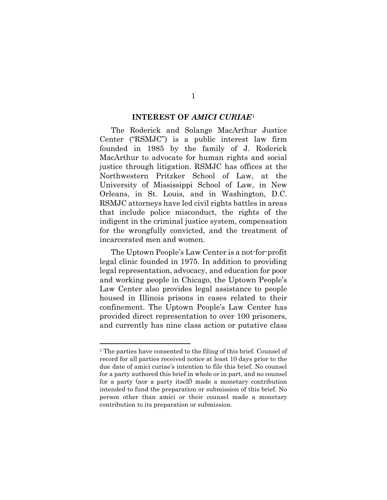#### **INTEREST OF** *AMICI CURIAE*[1](#page-4-1)

<span id="page-4-0"></span>The Roderick and Solange MacArthur Justice Center ("RSMJC") is a public interest law firm founded in 1985 by the family of J. Roderick MacArthur to advocate for human rights and social justice through litigation. RSMJC has offices at the Northwestern Pritzker School of Law, at the University of Mississippi School of Law, in New Orleans, in St. Louis, and in Washington, D.C. RSMJC attorneys have led civil rights battles in areas that include police misconduct, the rights of the indigent in the criminal justice system, compensation for the wrongfully convicted, and the treatment of incarcerated men and women.

The Uptown People's Law Center is a not-for-profit legal clinic founded in 1975. In addition to providing legal representation, advocacy, and education for poor and working people in Chicago, the Uptown People's Law Center also provides legal assistance to people housed in Illinois prisons in cases related to their confinement. The Uptown People's Law Center has provided direct representation to over 100 prisoners, and currently has nine class action or putative class

 $\overline{a}$ 

#### 1

<span id="page-4-1"></span><sup>&</sup>lt;sup>1</sup> The parties have consented to the filing of this brief. Counsel of record for all parties received notice at least 10 days prior to the due date of amici curiae's intention to file this brief. No counsel for a party authored this brief in whole or in part, and no counsel for a party (nor a party itself) made a monetary contribution intended to fund the preparation or submission of this brief. No person other than amici or their counsel made a monetary contribution to its preparation or submission.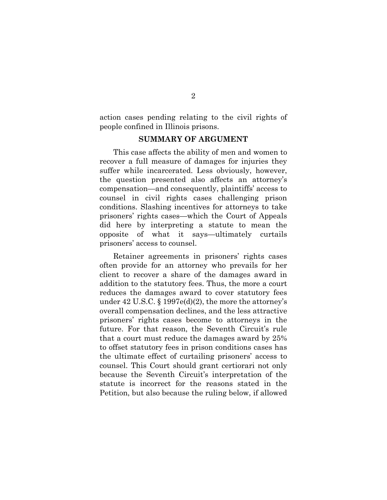action cases pending relating to the civil rights of people confined in Illinois prisons.

### **SUMMARY OF ARGUMENT**

<span id="page-5-0"></span>This case affects the ability of men and women to recover a full measure of damages for injuries they suffer while incarcerated. Less obviously, however, the question presented also affects an attorney's compensation—and consequently, plaintiffs' access to counsel in civil rights cases challenging prison conditions. Slashing incentives for attorneys to take prisoners' rights cases—which the Court of Appeals did here by interpreting a statute to mean the opposite of what it says—ultimately curtails prisoners' access to counsel.

Retainer agreements in prisoners' rights cases often provide for an attorney who prevails for her client to recover a share of the damages award in addition to the statutory fees. Thus, the more a court reduces the damages award to cover statutory fees under 42 U.S.C.  $\S 1997e(d)(2)$ , the more the attorney's overall compensation declines, and the less attractive prisoners' rights cases become to attorneys in the future. For that reason, the Seventh Circuit's rule that a court must reduce the damages award by 25% to offset statutory fees in prison conditions cases has the ultimate effect of curtailing prisoners' access to counsel. This Court should grant certiorari not only because the Seventh Circuit's interpretation of the statute is incorrect for the reasons stated in the Petition, but also because the ruling below, if allowed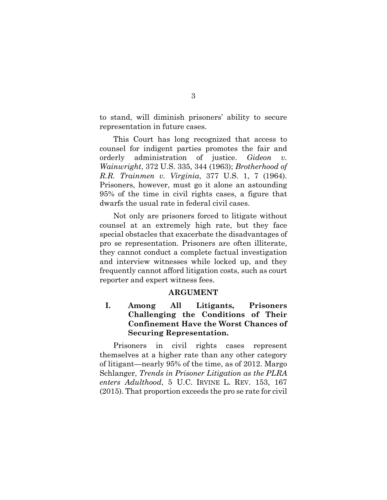to stand, will diminish prisoners' ability to secure representation in future cases.

This Court has long recognized that access to counsel for indigent parties promotes the fair and orderly administration of justice. *Gideon v. Wainwright*, 372 U.S. 335, 344 (1963); *Brotherhood of R.R. Trainmen v. Virginia*, 377 U.S. 1, 7 (1964). Prisoners, however, must go it alone an astounding 95% of the time in civil rights cases, a figure that dwarfs the usual rate in federal civil cases.

Not only are prisoners forced to litigate without counsel at an extremely high rate, but they face special obstacles that exacerbate the disadvantages of pro se representation. Prisoners are often illiterate, they cannot conduct a complete factual investigation and interview witnesses while locked up, and they frequently cannot afford litigation costs, such as court reporter and expert witness fees.

### **ARGUMENT**

## <span id="page-6-1"></span><span id="page-6-0"></span>**I. Among All Litigants, Prisoners Challenging the Conditions of Their Confinement Have the Worst Chances of Securing Representation.**

Prisoners in civil rights cases represent themselves at a higher rate than any other category of litigant—nearly 95% of the time, as of 2012. Margo Schlanger, *Trends in Prisoner Litigation as the PLRA enters Adulthood*, 5 U.C. IRVINE L. REV. 153, 167 (2015). That proportion exceeds the pro se rate for civil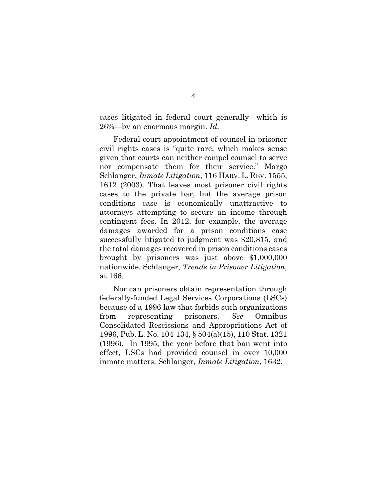cases litigated in federal court generally—which is 26%—by an enormous margin. *Id*.

Federal court appointment of counsel in prisoner civil rights cases is "quite rare, which makes sense given that courts can neither compel counsel to serve nor compensate them for their service." Margo Schlanger, *Inmate Litigation*, 116 HARV. L. REV. 1555, 1612 (2003). That leaves most prisoner civil rights cases to the private bar, but the average prison conditions case is economically unattractive to attorneys attempting to secure an income through contingent fees. In 2012, for example, the average damages awarded for a prison conditions case successfully litigated to judgment was \$20,815, and the total damages recovered in prison conditions cases brought by prisoners was just above \$1,000,000 nationwide. Schlanger, *Trends in Prisoner Litigation*, at 166.

Nor can prisoners obtain representation through federally-funded Legal Services Corporations (LSCs) because of a 1996 law that forbids such organizations from representing prisoners. *See* Omnibus Consolidated Rescissions and Appropriations Act of 1996, Pub. L. No. 104-134, § 504(a)(15), 110 Stat. 1321 (1996). In 1995, the year before that ban went into effect, LSCs had provided counsel in over 10,000 inmate matters. Schlanger*, Inmate Litigation*, 1632.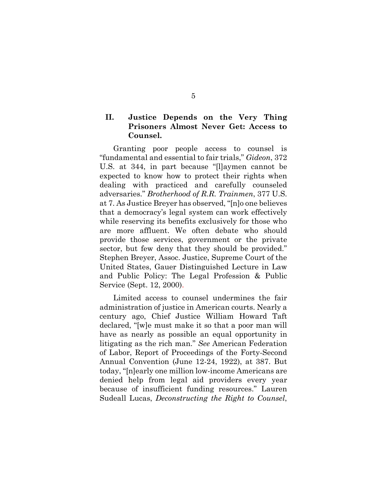## <span id="page-8-0"></span>**II. Justice Depends on the Very Thing Prisoners Almost Never Get: Access to Counsel.**

Granting poor people access to counsel is "fundamental and essential to fair trials," *Gideon*, 372 U.S. at 344, in part because "[l]aymen cannot be expected to know how to protect their rights when dealing with practiced and carefully counseled adversaries." *Brotherhood of R.R. Trainmen*, 377 U.S. at 7. As Justice Breyer has observed, "[n]o one believes that a democracy's legal system can work effectively while reserving its benefits exclusively for those who are more affluent. We often debate who should provide those services, government or the private sector, but few deny that they should be provided." Stephen Breyer, Assoc. Justice, Supreme Court of the United States, Gauer Distinguished Lecture in Law and Public Policy: The Legal Profession & Public Service (Sept. 12, 2000).

Limited access to counsel undermines the fair administration of justice in American courts. Nearly a century ago, Chief Justice William Howard Taft declared, "[w]e must make it so that a poor man will have as nearly as possible an equal opportunity in litigating as the rich man." *See* American Federation of Labor, Report of Proceedings of the Forty-Second Annual Convention (June 12-24, 1922), at 387. But today, "[n]early one million low-income Americans are denied help from legal aid providers every year because of insufficient funding resources." Lauren Sudeall Lucas, *Deconstructing the Right to Counsel*,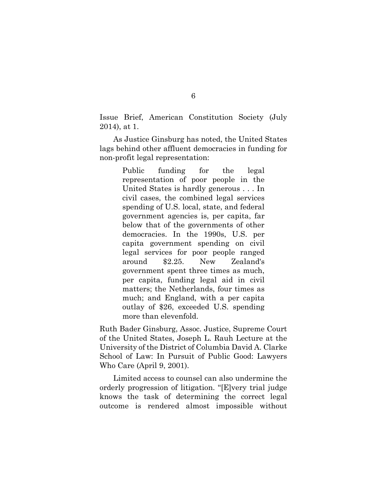Issue Brief, American Constitution Society (July 2014), at 1.

As Justice Ginsburg has noted, the United States lags behind other affluent democracies in funding for non-profit legal representation:

> Public funding for the legal representation of poor people in the United States is hardly generous . . . In civil cases, the combined legal services spending of U.S. local, state, and federal government agencies is, per capita, far below that of the governments of other democracies. In the 1990s, U.S. per capita government spending on civil legal services for poor people ranged around \$2.25. New Zealand's government spent three times as much, per capita, funding legal aid in civil matters; the Netherlands, four times as much; and England, with a per capita outlay of \$26, exceeded U.S. spending more than elevenfold.

Ruth Bader Ginsburg, Assoc. Justice, Supreme Court of the United States, Joseph L. Rauh Lecture at the University of the District of Columbia David A. Clarke School of Law: In Pursuit of Public Good: Lawyers Who Care (April 9, 2001).

Limited access to counsel can also undermine the orderly progression of litigation. "[E]very trial judge knows the task of determining the correct legal outcome is rendered almost impossible without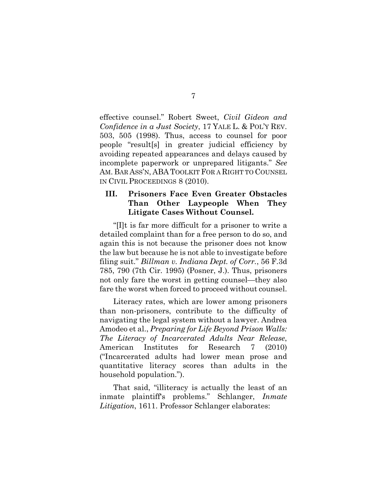effective counsel." Robert Sweet, *Civil Gideon and Confidence in a Just Society*, 17 YALE L. & POL'Y REV. 503, 505 (1998). Thus, access to counsel for poor people "result[s] in greater judicial efficiency by avoiding repeated appearances and delays caused by incomplete paperwork or unprepared litigants." *See*  AM. BAR ASS'N, ABA TOOLKIT FOR A RIGHT TO COUNSEL IN CIVIL PROCEEDINGS 8 (2010).

## <span id="page-10-0"></span>**III. Prisoners Face Even Greater Obstacles Than Other Laypeople When They Litigate Cases Without Counsel.**

"[I]t is far more difficult for a prisoner to write a detailed complaint than for a free person to do so, and again this is not because the prisoner does not know the law but because he is not able to investigate before filing suit." *Billman v. Indiana Dept. of Corr.*, 56 F.3d 785, 790 (7th Cir. 1995) (Posner, J.). Thus, prisoners not only fare the worst in getting counsel—they also fare the worst when forced to proceed without counsel.

Literacy rates, which are lower among prisoners than non-prisoners, contribute to the difficulty of navigating the legal system without a lawyer. Andrea Amodeo et al., *Preparing for Life Beyond Prison Walls: The Literacy of Incarcerated Adults Near Release*, American Institutes for Research 7 (2010) ("Incarcerated adults had lower mean prose and quantitative literacy scores than adults in the household population.").

That said, "illiteracy is actually the least of an inmate plaintiff's problems." Schlanger, *Inmate Litigation*, 1611. Professor Schlanger elaborates:

7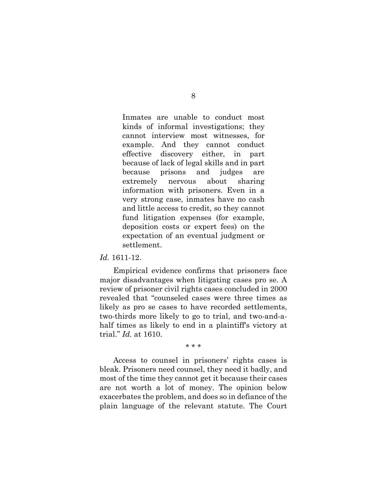Inmates are unable to conduct most kinds of informal investigations; they cannot interview most witnesses, for example. And they cannot conduct effective discovery either, in part because of lack of legal skills and in part because prisons and judges are extremely nervous about sharing information with prisoners. Even in a very strong case, inmates have no cash and little access to credit, so they cannot fund litigation expenses (for example, deposition costs or expert fees) on the expectation of an eventual judgment or settlement.

#### *Id.* 1611-12.

Empirical evidence confirms that prisoners face major disadvantages when litigating cases pro se. A review of prisoner civil rights cases concluded in 2000 revealed that "counseled cases were three times as likely as pro se cases to have recorded settlements, two-thirds more likely to go to trial, and two-and-ahalf times as likely to end in a plaintiff's victory at trial." *Id.* at 1610.

\* \* \*

Access to counsel in prisoners' rights cases is bleak. Prisoners need counsel, they need it badly, and most of the time they cannot get it because their cases are not worth a lot of money. The opinion below exacerbates the problem, and does so in defiance of the plain language of the relevant statute. The Court